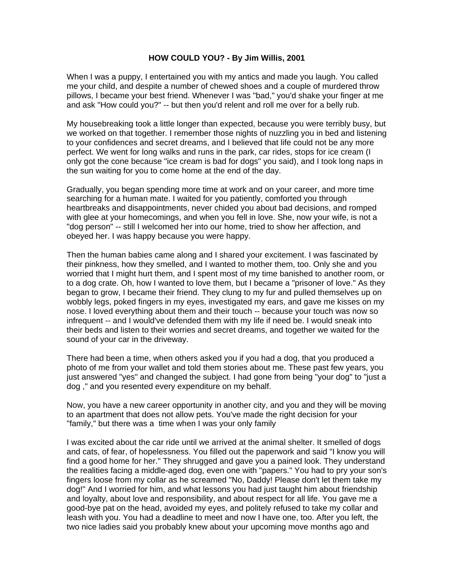## **HOW COULD YOU? - By Jim Willis, 2001**

When I was a puppy, I entertained you with my antics and made you laugh. You called me your child, and despite a number of chewed shoes and a couple of murdered throw pillows, I became your best friend. Whenever I was "bad," you'd shake your finger at me and ask "How could you?" -- but then you'd relent and roll me over for a belly rub.

My housebreaking took a little longer than expected, because you were terribly busy, but we worked on that together. I remember those nights of nuzzling you in bed and listening to your confidences and secret dreams, and I believed that life could not be any more perfect. We went for long walks and runs in the park, car rides, stops for ice cream (I only got the cone because "ice cream is bad for dogs" you said), and I took long naps in the sun waiting for you to come home at the end of the day.

Gradually, you began spending more time at work and on your career, and more time searching for a human mate. I waited for you patiently, comforted you through heartbreaks and disappointments, never chided you about bad decisions, and romped with glee at your homecomings, and when you fell in love. She, now your wife, is not a "dog person" -- still I welcomed her into our home, tried to show her affection, and obeyed her. I was happy because you were happy.

Then the human babies came along and I shared your excitement. I was fascinated by their pinkness, how they smelled, and I wanted to mother them, too. Only she and you worried that I might hurt them, and I spent most of my time banished to another room, or to a dog crate. Oh, how I wanted to love them, but I became a "prisoner of love." As they began to grow, I became their friend. They clung to my fur and pulled themselves up on wobbly legs, poked fingers in my eyes, investigated my ears, and gave me kisses on my nose. I loved everything about them and their touch -- because your touch was now so infrequent -- and I would've defended them with my life if need be. I would sneak into their beds and listen to their worries and secret dreams, and together we waited for the sound of your car in the driveway.

There had been a time, when others asked you if you had a dog, that you produced a photo of me from your wallet and told them stories about me. These past few years, you just answered "yes" and changed the subject. I had gone from being "your dog" to "just a dog ," and you resented every expenditure on my behalf.

Now, you have a new career opportunity in another city, and you and they will be moving to an apartment that does not allow pets. You've made the right decision for your "family," but there was a time when I was your only family

I was excited about the car ride until we arrived at the animal shelter. It smelled of dogs and cats, of fear, of hopelessness. You filled out the paperwork and said "I know you will find a good home for her." They shrugged and gave you a pained look. They understand the realities facing a middle-aged dog, even one with "papers." You had to pry your son's fingers loose from my collar as he screamed "No, Daddy! Please don't let them take my dog!" And I worried for him, and what lessons you had just taught him about friendship and loyalty, about love and responsibility, and about respect for all life. You gave me a good-bye pat on the head, avoided my eyes, and politely refused to take my collar and leash with you. You had a deadline to meet and now I have one, too. After you left, the two nice ladies said you probably knew about your upcoming move months ago and